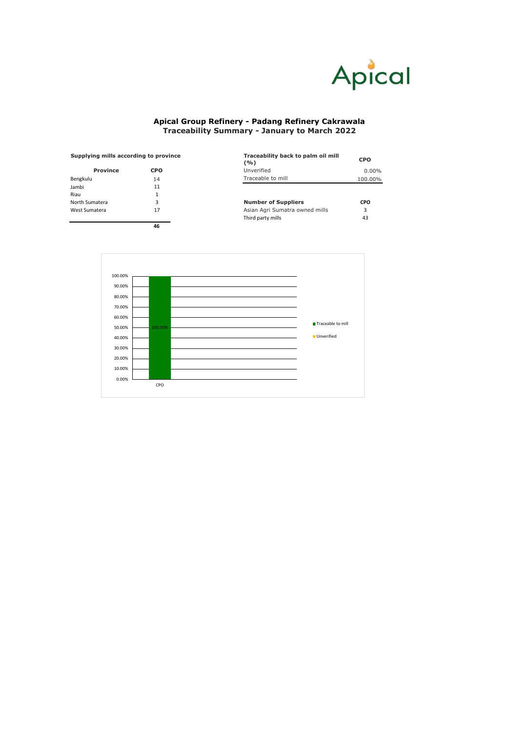

## **Apical Group Refinery - Padang Refinery Cakrawala Traceability Summary - January to March 2022**

| Supplying mills according to province |            | Traceability back to palm oil mill<br>(9/0) | <b>CPO</b> |  |
|---------------------------------------|------------|---------------------------------------------|------------|--|
| Province                              | <b>CPO</b> | Unverified                                  | $0.00\%$   |  |
| Bengkulu                              | 14         | Traceable to mill                           | 100.00%    |  |
| Jambi                                 | 11         |                                             |            |  |
| Riau                                  |            |                                             |            |  |
| North Sumatera                        | 3          | <b>Number of Suppliers</b>                  | CPO        |  |
| West Sumatera                         | 17         | Asian Agri Sumatra owned mills              | 3          |  |
|                                       |            | Third party mills                           | 43         |  |
|                                       | 46         |                                             |            |  |